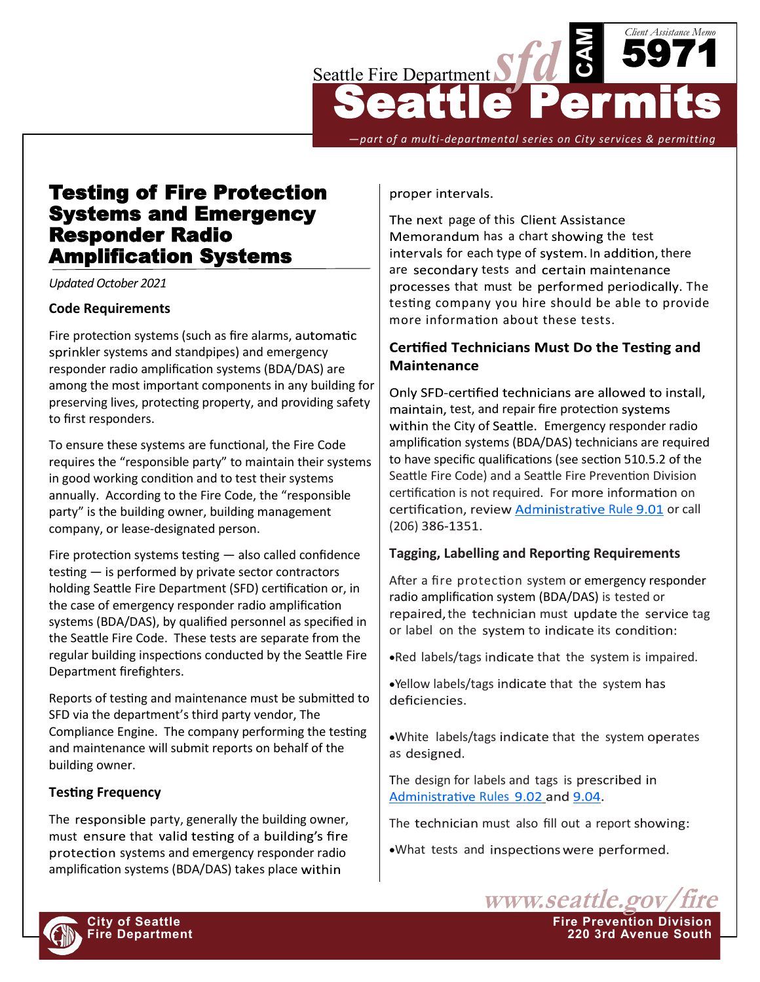

*—part of a multi-departmental series on City services & permitting*

# Testing of Fire Protection Systems and Emergency Responder Radio Amplification Systems

*Updated October 2021*

### **Code Requirements**

Fire protection systems (such as fire alarms, sprinkler systems and standpipes) and emergency responder radio amplification systems (BDA/DAS) are among the most important components in any building for preserving lives, protecting property, and providing safety to first responders.

To ensure these systems are functional, the Fire Code requires the "responsible party" to maintain their systems in good working condition and to test their systems annually. According to the Fire Code, the "responsible party" is the building owner, building management company, or lease-designated person.

Fire protection systems testing — also called confidence testing — is performed by private sector contractors holding Seattle Fire Department (SFD) certification or, in the case of emergency responder radio amplification systems (BDA/DAS), by qualified personnel as specified in the Seattle Fire Code. These tests are separate from the regular building inspections conducted by the Seattle Fire Department firefighters.

Reports of testing and maintenance must be submitted to SFD via the department's third party vendor, The Compliance Engine. The company performing the testing and maintenance will submit reports on behalf of the building owner.

## **Testing Frequency**

The responsible party, generally the building owner, must ensure that valid testing of a building's fire protection systems and emergency responder radio amplification systems (BDA/DAS) takes place

proper intervals.

The next page of this Client Assistance Memorandum has a chart showing the test intervals for each type of system. In addition, there are secondary tests and certain maintenance processes that must be performed periodically. The testing company you hire should be able to provide more information about these tests.

# **Certified Technicians Must Do the Testing and Maintenance**

Only SFD-certified technicians are allowed to install, maintain, test, and repair fire protection systems within the City of Seattle. Emergency responder radio amplification systems (BDA/DAS) technicians are required to have specific qualifications (see section 510.5.2 of the Seattle Fire Code) and a Seattle Fire Prevention Division certification is not required. For more information on certification, review Administrative [Rule](http://www.seattle.gov/fire/business-services/fire-code-and-fire-safety-documents#administrativerules) 9.01 or call (206) 386-1351.

## **Tagging, Labelling and Reporting Requirements**

After a fire protection system or emergency responder radio amplification system (BDA/DAS) is tested or repaired, the technician must update the service tag or label on the system to indicate its condition:

•Red labels/tags indicate that the system is impaired.

•Yellow labels/tags indicate that the system has deficiencies.

.White labels/tags indicate that the system operates as designed.

The design for labels and tags is prescribed in Administrative [Rules](http://www.seattle.gov/fire/firecode) 9.02 and 9.04.

The technician must also fill out a report showing:

www.seattle.gov

**Fire Department 220 3rd Avenue South**

•What tests and inspections were performed.

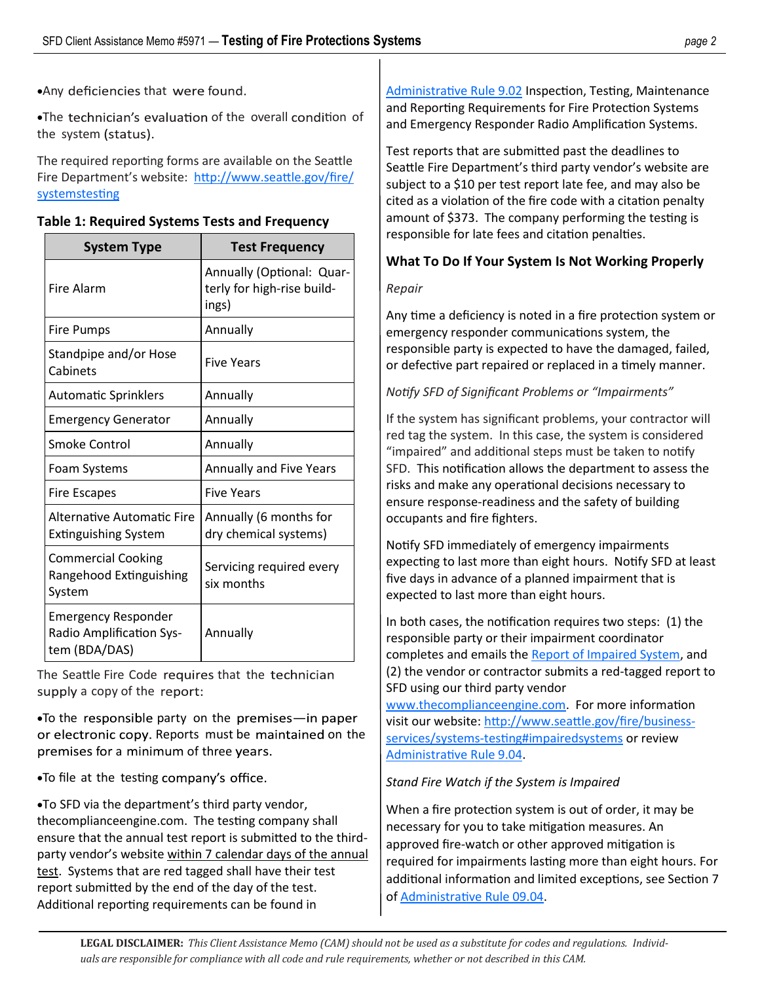• Any deficiencies that were found.

•The technician's evaluation of the overall condition of the system (status).

The required reporting forms are available on the Seattle Fire Department's website: [http://www.seattle.gov/fire/](http://www.seattle.gov/fire/business-services/systems-testing) [systemstesting](http://www.seattle.gov/fire/business-services/systems-testing)

#### **Table 1: Required Systems Tests and Frequency**

| <b>System Type</b>                                                      | <b>Test Frequency</b>                                            |
|-------------------------------------------------------------------------|------------------------------------------------------------------|
| <b>Fire Alarm</b>                                                       | Annually (Optional: Quar-<br>terly for high-rise build-<br>ings) |
| Fire Pumps                                                              | Annually                                                         |
| Standpipe and/or Hose<br>Cabinets                                       | <b>Five Years</b>                                                |
| <b>Automatic Sprinklers</b>                                             | Annually                                                         |
| <b>Emergency Generator</b>                                              | Annually                                                         |
| Smoke Control                                                           | Annually                                                         |
| Foam Systems                                                            | Annually and Five Years                                          |
| <b>Fire Escapes</b>                                                     | <b>Five Years</b>                                                |
| Alternative Automatic Fire<br><b>Extinguishing System</b>               | Annually (6 months for<br>dry chemical systems)                  |
| <b>Commercial Cooking</b><br>Rangehood Extinguishing<br>System          | Servicing required every<br>six months                           |
| <b>Emergency Responder</b><br>Radio Amplification Sys-<br>tem (BDA/DAS) | Annually                                                         |

The Seattle Fire Code requires that the technician supply a copy of the report:

 $\bullet$ To the responsible party on the premises—in paper or electronic copy. Reports must be maintained on the premises for a minimum of three years.

•To file at the testing company's office.

•To SFD via the department's third party vendor, thecomplianceengine.com. The testing company shall ensure that the annual test report is submitted to the thirdparty vendor's website within 7 calendar days of the annual test. Systems that are red tagged shall have their test report submitted by the end of the day of the test. Additional reporting requirements can be found in

[Administrative Rule 9.02](http://www.seattle.gov/fire/firecode) Inspection, Testing, Maintenance and Reporting Requirements for Fire Protection Systems and Emergency Responder Radio Amplification Systems.

Test reports that are submitted past the deadlines to Seattle Fire Department's third party vendor's website are subject to a \$10 per test report late fee, and may also be cited as a violation of the fire code with a citation penalty amount of \$373. The company performing the testing is responsible for late fees and citation penalties.

# **What To Do If Your System Is Not Working Properly**

#### *Repair*

Any time a deficiency is noted in a fire protection system or emergency responder communications system, the responsible party is expected to have the damaged, failed, or defective part repaired or replaced in a timely manner.

## *Notify SFD of Significant Problems or "Impairments"*

If the system has significant problems, your contractor will red tag the system. In this case, the system is considered "impaired" and additional steps must be taken to notify SFD. This notification allows the department to assess the risks and make any operational decisions necessary to ensure response-readiness and the safety of building occupants and fire fighters.

Notify SFD immediately of emergency impairments expecting to last more than eight hours. Notify SFD at least five days in advance of a planned impairment that is expected to last more than eight hours.

In both cases, the notification requires two steps: (1) the responsible party or their impairment coordinator completes and emails the [Report of Impaired System,](http://www.seattle.gov/Documents/Departments/Fire/Business/ReportofImpairedSystemForm.pdf) and (2) the vendor or contractor submits a red-tagged report to SFD using our third party vendor

[www.thecomplianceengine.com.](http://www.seattle.gov/Documents/Departments/Fire/Business/ReportofImpairedSystemForm.pdf) For more information visit our website: [http://www.seattle.gov/fire/business](http://www.seattle.gov/fire/business-services/systems-testing#impairedsystems)services/systems-[testing#impairedsystems](http://www.seattle.gov/fire/business-services/systems-testing#impairedsystems) or review [Administrative Rule 9.04.](http://www.seattle.gov/fire/business-services/fire-code-and-fire-safety-documents#administrativerules) 

#### *Stand Fire Watch if the System is Impaired*

When a fire protection system is out of order, it may be necessary for you to take mitigation measures. An approved fire-watch or other approved mitigation is required for impairments lasting more than eight hours. For additional information and limited exceptions, see Section 7 of [Administrative Rule 09.04.](http://www.seattle.gov/Documents/Departments/Fire/Business/AdRule9.04.20.pdf)